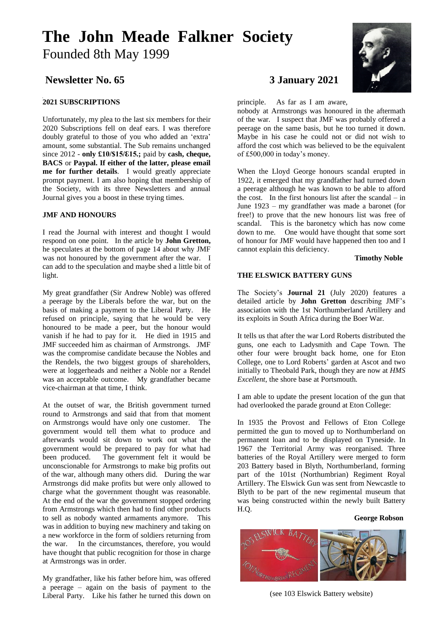# **The John Meade Falkner Society**  Founded 8th May 1999

## **Newsletter No. 65 3 January 2021**

### **2021 SUBSCRIPTIONS**

Unfortunately, my plea to the last six members for their 2020 Subscriptions fell on deaf ears. I was therefore doubly grateful to those of you who added an 'extra' amount, some substantial. The Sub remains unchanged since 2012 - **only £10/\$15/ℇ15.;** paid by **cash, cheque, BACS** or **Paypal. If either of the latter, please email me for further details**. I would greatly appreciate prompt payment. I am also hoping that membership of the Society, with its three Newsletters and annual Journal gives you a boost in these trying times.

#### **JMF AND HONOURS**

I read the Journal with interest and thought I would respond on one point. In the article by **John Gretton,**  he speculates at the bottom of page 14 about why JMF was not honoured by the government after the war. I can add to the speculation and maybe shed a little bit of light.

My great grandfather (Sir Andrew Noble) was offered a peerage by the Liberals before the war, but on the basis of making a payment to the Liberal Party. He refused on principle, saying that he would be very honoured to be made a peer, but the honour would vanish if he had to pay for it. He died in 1915 and JMF succeeded him as chairman of Armstrongs. JMF was the compromise candidate because the Nobles and the Rendels, the two biggest groups of shareholders, were at loggerheads and neither a Noble nor a Rendel was an acceptable outcome. My grandfather became vice-chairman at that time, I think.

At the outset of war, the British government turned round to Armstrongs and said that from that moment on Armstrongs would have only one customer. The government would tell them what to produce and afterwards would sit down to work out what the government would be prepared to pay for what had been produced. The government felt it would be unconscionable for Armstrongs to make big profits out of the war, although many others did. During the war Armstrongs did make profits but were only allowed to charge what the government thought was reasonable. At the end of the war the government stopped ordering from Armstrongs which then had to find other products to sell as nobody wanted armaments anymore. This was in addition to buying new machinery and taking on a new workforce in the form of soldiers returning from the war. In the circumstances, therefore, you would have thought that public recognition for those in charge at Armstrongs was in order.

My grandfather, like his father before him, was offered a peerage – again on the basis of payment to the Liberal Party. Like his father he turned this down on

principle. As far as I am aware,

nobody at Armstrongs was honoured in the aftermath of the war. I suspect that JMF was probably offered a peerage on the same basis, but he too turned it down. Maybe in his case he could not or did not wish to afford the cost which was believed to be the equivalent of £500,000 in today's money.

When the Lloyd George honours scandal erupted in 1922, it emerged that my grandfather had turned down a peerage although he was known to be able to afford the cost. In the first honours list after the scandal – in June 1923 – my grandfather was made a baronet (for free!) to prove that the new honours list was free of scandal. This is the baronetcy which has now come down to me. One would have thought that some sort of honour for JMF would have happened then too and I cannot explain this deficiency.

#### **Timothy Noble**

#### **THE ELSWICK BATTERY GUNS**

The Society's **Journal 21** (July 2020) features a detailed article by **John Gretton** describing JMF's association with the 1st Northumberland Artillery and its exploits in South Africa during the Boer War.

It tells us that after the war Lord Roberts distributed the guns, one each to Ladysmith and Cape Town. The other four were brought back home, one for Eton College, one to Lord Roberts' garden at Ascot and two initially to Theobald Park, though they are now at *HMS Excellent*, the shore base at Portsmouth.

I am able to update the present location of the gun that had overlooked the parade ground at Eton College:

In 1935 the Provost and Fellows of Eton College permitted the gun to moved up to Northumberland on permanent loan and to be displayed on Tyneside. In 1967 the Territorial Army was reorganised. Three batteries of the Royal Artillery were merged to form 203 Battery based in Blyth, Northumberland, forming part of the 101st (Northumbrian) Regiment Royal Artillery. The Elswick Gun was sent from Newcastle to Blyth to be part of the new regimental museum that was being constructed within the newly built Battery H.Q.

#### **George Robson**



(see 103 Elswick Battery website)